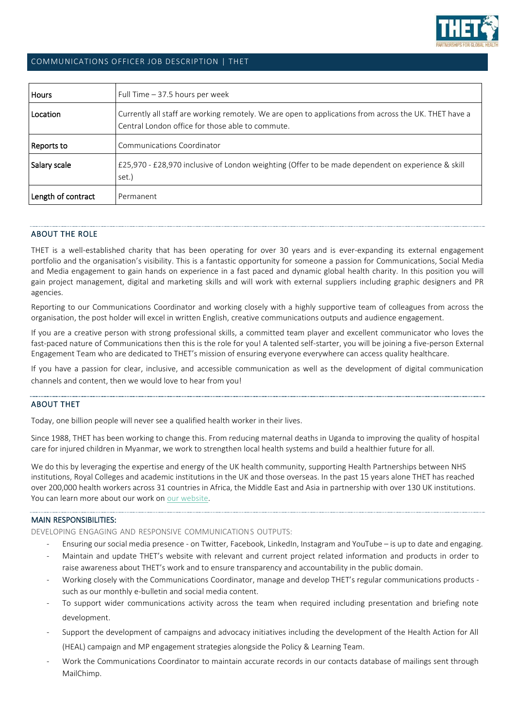

## COMMUNICATIONS OFFICER JOB DESCRIPTION | THET

| <b>Hours</b>       | Full Time $-37.5$ hours per week                                                                                                                          |
|--------------------|-----------------------------------------------------------------------------------------------------------------------------------------------------------|
| Location           | Currently all staff are working remotely. We are open to applications from across the UK. THET have a<br>Central London office for those able to commute. |
| Reports to         | Communications Coordinator                                                                                                                                |
| Salary scale       | £25,970 - £28,970 inclusive of London weighting (Offer to be made dependent on experience & skill<br>set.)                                                |
| Length of contract | Permanent                                                                                                                                                 |

## ABOUT THE ROLE

THET is a well-established charity that has been operating for over 30 years and is ever-expanding its external engagement portfolio and the organisation's visibility. This is a fantastic opportunity for someone a passion for Communications, Social Media and Media engagement to gain hands on experience in a fast paced and dynamic global health charity. In this position you will gain project management, digital and marketing skills and will work with external suppliers including graphic designers and PR agencies.

Reporting to our Communications Coordinator and working closely with a highly supportive team of colleagues from across the organisation, the post holder will excel in written English, creative communications outputs and audience engagement.

If you are a creative person with strong professional skills, a committed team player and excellent communicator who loves the fast-paced nature of Communications then this is the role for you! A talented self-starter, you will be joining a five-person External Engagement Team who are dedicated to THET's mission of ensuring everyone everywhere can access quality healthcare.

If you have a passion for clear, inclusive, and accessible communication as well as the development of digital communication channels and content, then we would love to hear from you!

### ABOUT THET

Today, one billion people will never see a qualified health worker in their lives.

Since 1988, THET has been working to change this. From reducing maternal deaths in Uganda to improving the quality of hospital care for injured children in Myanmar, we work to strengthen local health systems and build a healthier future for all.

We do this by leveraging the expertise and energy of the UK health community, supporting Health Partnerships between NHS institutions, Royal Colleges and academic institutions in the UK and those overseas. In the past 15 years alone THET has reached over 200,000 health workers across 31 countries in Africa, the Middle East and Asia in partnership with over 130 UK institutions. You can learn more about our work on [our website.](http://www.thet.org/)

#### MAIN RESPONSIBILITIES:

DEVELOPING ENGAGING AND RESPONSIVE COMMUNICATIONS OUTPUTS:

- Ensuring our social media presence on Twitter, Facebook, LinkedIn, Instagram and YouTube is up to date and engaging.
- Maintain and update THET's website with relevant and current project related information and products in order to raise awareness about THET's work and to ensure transparency and accountability in the public domain.
- Working closely with the Communications Coordinator, manage and develop THET's regular communications products such as our monthly e-bulletin and social media content.
- To support wider communications activity across the team when required including presentation and briefing note development.
- Support the development of campaigns and advocacy initiatives including the development of the Health Action for All (HEAL) campaign and MP engagement strategies alongside the Policy & Learning Team.
- Work the Communications Coordinator to maintain accurate records in our contacts database of mailings sent through MailChimp.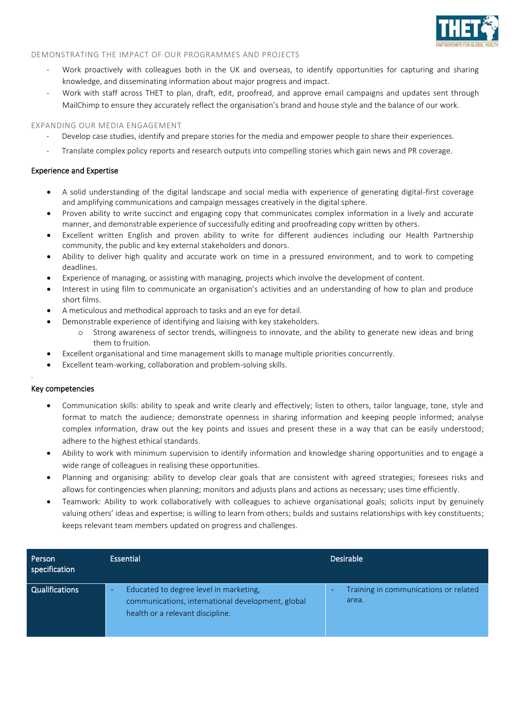

### DEMONSTRATING THE IMPACT OF OUR PROGRAMMES AND PROJECTS

- Work proactively with colleagues both in the UK and overseas, to identify opportunities for capturing and sharing knowledge, and disseminating information about major progress and impact.
- Work with staff across THET to plan, draft, edit, proofread, and approve email campaigns and updates sent through MailChimp to ensure they accurately reflect the organisation's brand and house style and the balance of our work.

#### EXPANDING OUR MEDIA ENGAGEMENT

- Develop case studies, identify and prepare stories for the media and empower people to share their experiences.
- Translate complex policy reports and research outputs into compelling stories which gain news and PR coverage.

#### Experience and Expertise

- A solid understanding of the digital landscape and social media with experience of generating digital-first coverage and amplifying communications and campaign messages creatively in the digital sphere.
- Proven ability to write succinct and engaging copy that communicates complex information in a lively and accurate manner, and demonstrable experience of successfully editing and proofreading copy written by others.
- Excellent written English and proven ability to write for different audiences including our Health Partnership community, the public and key external stakeholders and donors.
- Ability to deliver high quality and accurate work on time in a pressured environment, and to work to competing deadlines.
- Experience of managing, or assisting with managing, projects which involve the development of content.
- Interest in using film to communicate an organisation's activities and an understanding of how to plan and produce short films.
- A meticulous and methodical approach to tasks and an eye for detail.
- Demonstrable experience of identifying and liaising with key stakeholders.
	- o Strong awareness of sector trends, willingness to innovate, and the ability to generate new ideas and bring them to fruition.
- Excellent organisational and time management skills to manage multiple priorities concurrently.
- Excellent team-working, collaboration and problem-solving skills.

#### Key competencies

.

- Communication skills: ability to speak and write clearly and effectively; listen to others, tailor language, tone, style and format to match the audience; demonstrate openness in sharing information and keeping people informed; analyse complex information, draw out the key points and issues and present these in a way that can be easily understood; adhere to the highest ethical standards.
- Ability to work with minimum supervision to identify information and knowledge sharing opportunities and to engage a wide range of colleagues in realising these opportunities.
- Planning and organising: ability to develop clear goals that are consistent with agreed strategies; foresees risks and allows for contingencies when planning; monitors and adjusts plans and actions as necessary; uses time efficiently.
- Teamwork: Ability to work collaboratively with colleagues to achieve organisational goals; solicits input by genuinely valuing others' ideas and expertise; is willing to learn from others; builds and sustains relationships with key constituents; keeps relevant team members updated on progress and challenges.

| Person<br>specification | <b>Essential</b>                                                                                                                            | <b>Desirable</b>                                                           |
|-------------------------|---------------------------------------------------------------------------------------------------------------------------------------------|----------------------------------------------------------------------------|
| <b>Qualifications</b>   | Educated to degree level in marketing,<br><b>-</b><br>communications, international development, global<br>health or a relevant discipline. | Training in communications or related<br>$\overline{\phantom{0}}$<br>area. |